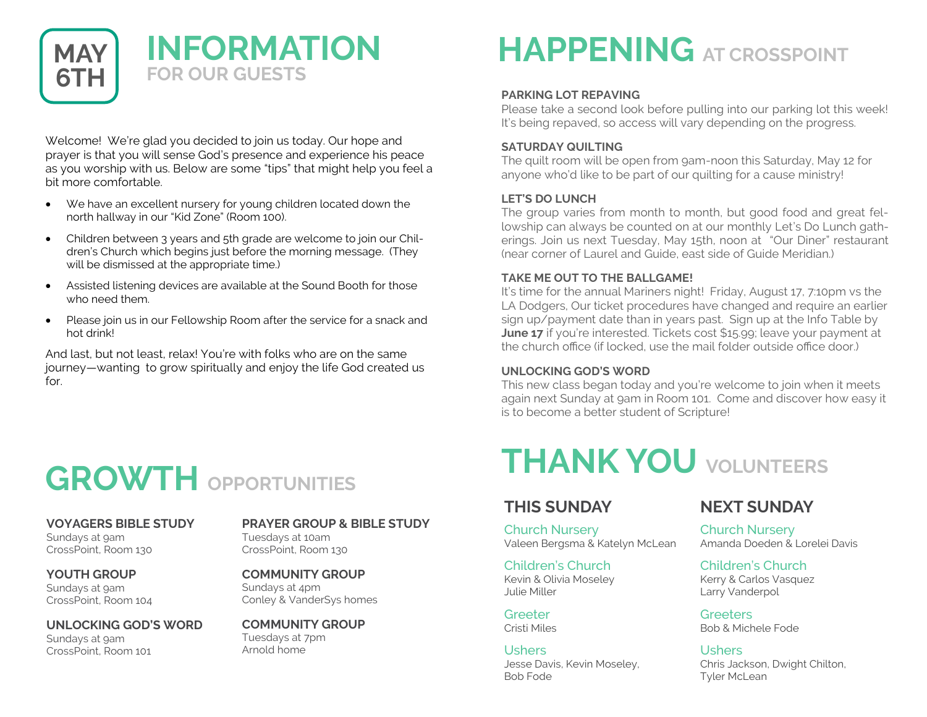

Welcome! We're glad you decided to join us today. Our hope and prayer is that you will sense God's presence and experience his peace as you worship with us. Below are some "tips" that might help you feel a bit more comfortable.

- We have an excellent nursery for young children located down the north hallway in our "Kid Zone" (Room 100).
- Children between 3 years and 5th grade are welcome to join our Children's Church which begins just before the morning message. (They will be dismissed at the appropriate time.)
- Assisted listening devices are available at the Sound Booth for those who need them.
- Please join us in our Fellowship Room after the service for a snack and hot drink!

And last, but not least, relax! You're with folks who are on the same journey—wanting to grow spiritually and enjoy the life God created us for.

# **GROWTH OPPORTUNITIES**

**VOYAGERS BIBLE STUDY** Sundays at 9am CrossPoint, Room 130

**YOUTH GROUP** Sundays at 9am CrossPoint, Room 104

**UNLOCKING GOD'S WORD** Sundays at 9am

CrossPoint, Room 101

### **PRAYER GROUP & BIBLE STUDY** Tuesdays at 10am

CrossPoint, Room 130

**COMMUNITY GROUP** Sundays at 4pm Conley & VanderSys homes

**COMMUNITY GROUP** Tuesdays at 7pm Arnold home

# **HAPPENING AT CROSSPOINT**

### **PARKING LOT REPAVING**

Please take a second look before pulling into our parking lot this week! It's being repaved, so access will vary depending on the progress.

### **SATURDAY QUILTING**

The quilt room will be open from 9am-noon this Saturday, May 12 for anyone who'd like to be part of our quilting for a cause ministry!

### **LET'S DO LUNCH**

The group varies from month to month, but good food and great fellowship can always be counted on at our monthly Let's Do Lunch gatherings. Join us next Tuesday, May 15th, noon at "Our Diner" restaurant (near corner of Laurel and Guide, east side of Guide Meridian.)

### **TAKE ME OUT TO THE BALLGAME!**

It's time for the annual Mariners night! Friday, August 17, 7:10pm vs the LA Dodgers, Our ticket procedures have changed and require an earlier sign up/payment date than in years past. Sign up at the Info Table by **June 17** if you're interested. Tickets cost \$15.99; leave your payment at the church office (if locked, use the mail folder outside office door.)

#### **UNLOCKING GOD'S WORD**

This new class began today and you're welcome to join when it meets again next Sunday at 9am in Room 101. Come and discover how easy it is to become a better student of Scripture!

# **THANK YOU VOLUNTEERS**

### **THIS SUNDAY**

Church Nursery Valeen Bergsma & Katelyn McLean

Children's Church Kevin & Olivia Moseley Julie Miller

**Greeter** Cristi Miles

Ushers Jesse Davis, Kevin Moseley, Bob Fode

### **NEXT SUNDAY**

Church Nursery Amanda Doeden & Lorelei Davis

Children's Church Kerry & Carlos Vasquez Larry Vanderpol

**Greeters** Bob & Michele Fode

**Ushers** Chris Jackson, Dwight Chilton, Tyler McLean